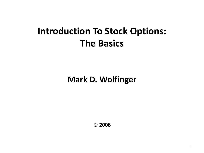#### **Introduction To Stock Options: The Basics**

**Mark D. Wolfinger**

© **2008**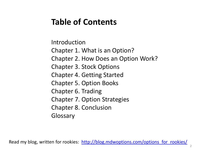#### **Table of Contents**

Introduction Chapter 1. What is an Option? Chapter 2. How Does an Option Work? Chapter 3. Stock Options Chapter 4. Getting Started Chapter 5. Option Books Chapter 6. Trading Chapter 7. Option Strategies Chapter 8. Conclusion Glossary

Read my blog, written for rookies: [http://blog.mdwoptions.com/options\\_for\\_rookies/](http://blog.mdwoptions.com/options_for_rookies/)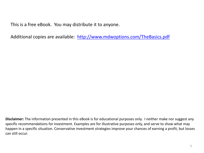This is a free eBook. You may distribute it to anyone.

Additional copies are available: [http://www.mdwoptions.com/TheBasics.pdf](http://www.mdwoptions.com/freebook2.pdf)

**Disclaimer:** The information presented in this eBook is for educational purposes only. I neither make nor suggest any specific recommendations for investment. Examples are for illustrative purposes only, and serve to show what may happen in a specific situation. Conservative investment strategies improve your chances of earning a profit, but losses can still occur.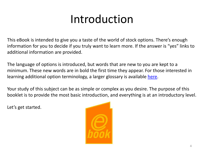# Introduction

This eBook is intended to give you a taste of the world of stock options. There's enough information for you to decide if you truly want to learn more. If the answer is "yes" links to additional information are provided.

The language of options is introduced, but words that are new to you are kept to a minimum. These new words are in bold the first time they appear. For those interested in learning additional option terminology, a larger glossary is available [here.](http://www.mdwoptions.com/GlossaryBook.html)

Your study of this subject can be as simple or complex as you desire. The purpose of this booklet is to provide the most basic introduction, and everything is at an introductory level.

Let's get started.

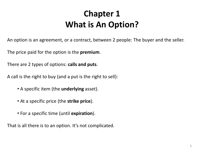#### **Chapter 1 What is An Option?**

An option is an agreement, or a contract, between 2 people: The buyer and the seller.

The price paid for the option is the **premium**.

There are 2 types of options: **calls and puts**.

A call is the right to buy (and a put is the right to sell):

- A specific item (the **underlying** asset).
- At a specific price (the **strike price**).
- For a specific time (until **expiration**).

That is all there is to an option. It's not complicated.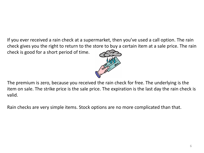If you ever received a rain check at a supermarket, then you've used a call option. The rain check gives you the right to return to the store to buy a certain item at a sale price. The rain check is good for a short period of time.



The premium is zero, because you received the rain check for free. The underlying is the item on sale. The strike price is the sale price. The expiration is the last day the rain check is valid.

Rain checks are very simple items. Stock options are no more complicated than that.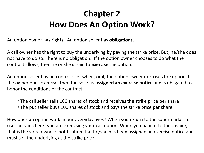## **Chapter 2 How Does An Option Work?**

An option owner has **rights.** An option seller has **obligations.**

A call owner has the right to buy the underlying by paying the strike price. But, he/she does not have to do so. There is no obligation. If the option owner chooses to do what the contract allows, then he or she is said to **exercise** the option**.**

An option seller has no control over when, or if, the option owner exercises the option. If the owner does exercise, then the seller is **assigned an exercise notice** and is obligated to honor the conditions of the contract:

- The call seller sells 100 shares of stock and receives the strike price per share
- The put seller buys 100 shares of stock and pays the strike price per share

How does an option work in our everyday lives? When you return to the supermarket to use the rain check, you are exercising your call option. When you hand it to the cashier, that is the store owner's notification that he/she has been assigned an exercise notice and must sell the underlying at the strike price.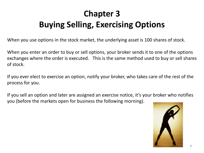# **Chapter 3 Buying Selling, Exercising Options**

When you use options in the stock market, the underlying asset is 100 shares of stock.

When you enter an order to buy or sell options, your broker sends it to one of the options exchanges where the order is executed. This is the same method used to buy or sell shares of stock.

If you ever elect to exercise an option, notify your broker, who takes care of the rest of the process for you.

If you sell an option and later are assigned an exercise notice, it's your broker who notifies you (before the markets open for business the following morning).

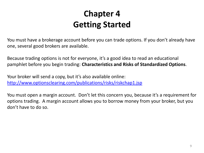#### **Chapter 4 Getting Started**

You must have a brokerage account before you can trade options. If you don't already have one, several good brokers are available.

Because trading options is not for everyone, it's a good idea to read an educational pamphlet before you begin trading: **Characteristics and Risks of Standardized Options**.

Your broker will send a copy, but it's also available online: <http://www.optionsclearing.com/publications/risks/riskchap1.jsp>

You must open a margin account. Don't let this concern you, because it's a requirement for options trading. A margin account allows you to borrow money from your broker, but you don't have to do so.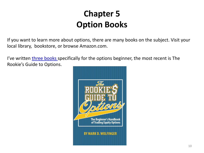#### **Chapter 5 Option Books**

If you want to learn more about options, there are many books on the subject. Visit your local library, bookstore, or browse Amazon.com.

I've written [three books s](http://www.mdwoptions.com/3Books.html)pecifically for the options beginner, the most recent is The Rookie's Guide to Options.

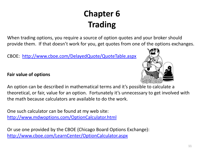# **Chapter 6 Trading**

When trading options, you require a source of option quotes and your broker should provide them. If that doesn't work for you, get quotes from one of the options exchanges.

CBOE: <http://www.cboe.com/DelayedQuote/QuoteTable.aspx>

#### **Fair value of options**



An option can be described in mathematical terms and it's possible to calculate a theoretical, or fair, value for an option. Fortunately it's unnecessary to get involved with the math because calculators are available to do the work.

One such calculator can be found at my web site: <http://www.mdwoptions.com/OptionCalculator.html>

Or use one provided by the CBOE (Chicago Board Options Exchange): <http://www.cboe.com/LearnCenter/OptionCalculator.aspx>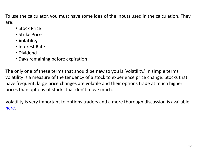To use the calculator, you must have some idea of the inputs used in the calculation. They are:

- Stock Price
- •·Strike Price
- **Volatility**
- Interest Rate
- Dividend
- Days remaining before expiration

The only one of these terms that should be new to you is 'volatility.' In simple terms volatility is a measure of the tendency of a stock to experience price change. Stocks that have frequent, large price changes are volatile and their options trade at much higher prices than options of stocks that don't move much.

Volatility is very important to options traders and a more thorough discussion is available [here.](http://www.mdwoptions.com/volatility.html)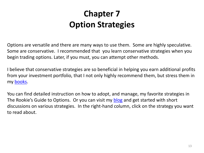#### **Chapter 7 Option Strategies**

Options are versatile and there are many ways to use them. Some are highly speculative. Some are conservative. I recommended that you learn conservative strategies when you begin trading options. Later, if you must, you can attempt other methods.

I believe that conservative strategies are so beneficial in helping you earn additional profits from your investment portfolio, that I not only highly recommend them, but stress them in my [books.](http://www.mdwoptions.com/3Books.html)

You can find detailed instruction on how to adopt, and manage, my favorite strategies in The Rookie's Guide to Options. Or you can visit my [blog](http://blog.mdwoptions.com/options_for_rookies/) and get started with short discussions on various strategies. In the right-hand column, click on the strategy you want to read about.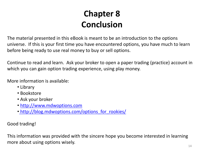#### **Chapter 8 Conclusion**

The material presented in this eBook is meant to be an introduction to the options universe. If this is your first time you have encountered options, you have much to learn before being ready to use real money to buy or sell options.

Continue to read and learn. Ask your broker to open a paper trading (practice) account in which you can gain option trading experience, using play money.

More information is available:

- Library
- Bookstore
- Ask your broker
- [http://www.mdwoptions.com](http://www.mdwoptions.com/)
- [•](http://blog.mdwoptions.com/options_for_rookies/) http://blog.mdwoptions.com/options for rookies/

Good trading!

This information was provided with the sincere hope you become interested in learning more about using options wisely.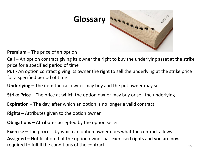

**Premium –** The price of an option

**Call –** An option contract giving its owner the right to buy the underlying asset at the strike price for a specified period of time

- **Put -** An option contract giving its owner the right to sell the underlying at the strike price for a specified period of time
- **Underlying –** The item the call owner may buy and the put owner may sell
- **Strike Price –** The price at which the option owner may buy or sell the underlying
- **Expiration –** The day, after which an option is no longer a valid contract
- **Rights –** Attributes given to the option owner
- **Obligations –** Attributes accepted by the option seller

**Exercise –** The process by which an option owner does what the contract allows **Assigned –** Notification that the option owner has exercised rights and you are now required to fulfill the conditions of the contract